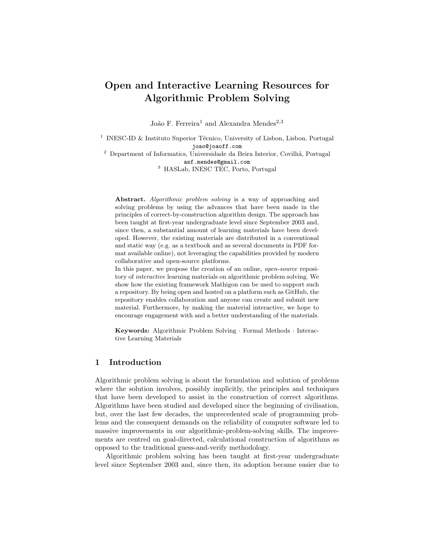# Open and Interactive Learning Resources for Algorithmic Problem Solving

João F. Ferreira<sup>1</sup> and Alexandra Mendes<sup>2,3</sup>

<sup>1</sup> INESC-ID & Instituto Superior Técnico, University of Lisbon, Lisbon, Portugal joao@joaoff.com

<sup>2</sup> Department of Informatics, Universidade da Beira Interior, Covilhã, Portugal asf.mendes@gmail.com

<sup>3</sup> HASLab, INESC TEC, Porto, Portugal

Abstract. Algorithmic problem solving is a way of approaching and solving problems by using the advances that have been made in the principles of correct-by-construction algorithm design. The approach has been taught at first-year undergraduate level since September 2003 and, since then, a substantial amount of learning materials have been developed. However, the existing materials are distributed in a conventional and static way (e.g. as a textbook and as several documents in PDF format available online), not leveraging the capabilities provided by modern collaborative and open-source platforms.

In this paper, we propose the creation of an online, *open-source* repository of interactive learning materials on algorithmic problem solving. We show how the existing framework Mathigon can be used to support such a repository. By being open and hosted on a platform such as GitHub, the repository enables collaboration and anyone can create and submit new material. Furthermore, by making the material interactive, we hope to encourage engagement with and a better understanding of the materials.

Keywords: Algorithmic Problem Solving · Formal Methods · Interactive Learning Materials

## 1 Introduction

Algorithmic problem solving is about the formulation and solution of problems where the solution involves, possibly implicitly, the principles and techniques that have been developed to assist in the construction of correct algorithms. Algorithms have been studied and developed since the beginning of civilisation, but, over the last few decades, the unprecedented scale of programming problems and the consequent demands on the reliability of computer software led to massive improvements in our algorithmic-problem-solving skills. The improvements are centred on goal-directed, calculational construction of algorithms as opposed to the traditional guess-and-verify methodology.

Algorithmic problem solving has been taught at first-year undergraduate level since September 2003 and, since then, its adoption became easier due to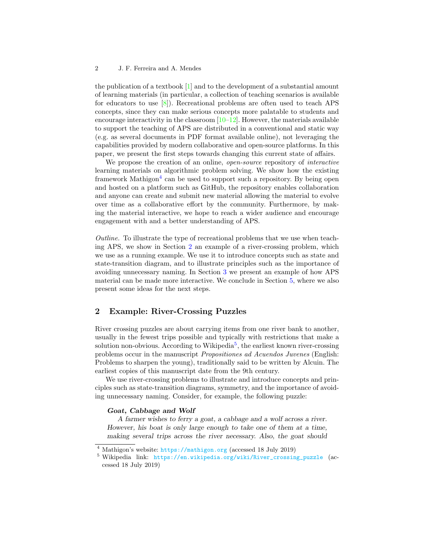### 2 J. F. Ferreira and A. Mendes

the publication of a textbook [\[1\]](#page-8-0) and to the development of a substantial amount of learning materials (in particular, a collection of teaching scenarios is available for educators to use  $[8]$ . Recreational problems are often used to teach APS concepts, since they can make serious concepts more palatable to students and encourage interactivity in the classroom  $[10-12]$  $[10-12]$ . However, the materials available to support the teaching of APS are distributed in a conventional and static way (e.g. as several documents in PDF format available online), not leveraging the capabilities provided by modern collaborative and open-source platforms. In this paper, we present the first steps towards changing this current state of affairs.

We propose the creation of an online, *open-source* repository of *interactive* learning materials on algorithmic problem solving. We show how the existing framework Mathigon<sup>[4](#page-1-0)</sup> can be used to support such a repository. By being open and hosted on a platform such as GitHub, the repository enables collaboration and anyone can create and submit new material allowing the material to evolve over time as a collaborative effort by the community. Furthermore, by making the material interactive, we hope to reach a wider audience and encourage engagement with and a better understanding of APS.

Outline. To illustrate the type of recreational problems that we use when teaching APS, we show in Section [2](#page-1-1) an example of a river-crossing problem, which we use as a running example. We use it to introduce concepts such as state and state-transition diagram, and to illustrate principles such as the importance of avoiding unnecessary naming. In Section [3](#page-4-0) we present an example of how APS material can be made more interactive. We conclude in Section [5,](#page-7-0) where we also present some ideas for the next steps.

## <span id="page-1-1"></span>2 Example: River-Crossing Puzzles

River crossing puzzles are about carrying items from one river bank to another, usually in the fewest trips possible and typically with restrictions that make a solution non-obvious. According to Wikipedia<sup>[5](#page-1-2)</sup>, the earliest known river-crossing problems occur in the manuscript Propositiones ad Acuendos Juvenes (English: Problems to sharpen the young), traditionally said to be written by Alcuin. The earliest copies of this manuscript date from the 9th century.

We use river-crossing problems to illustrate and introduce concepts and principles such as state-transition diagrams, symmetry, and the importance of avoiding unnecessary naming. Consider, for example, the following puzzle:

#### Goat, Cabbage and Wolf

A farmer wishes to ferry a goat, a cabbage and a wolf across a river. However, his boat is only large enough to take one of them at a time, making several trips across the river necessary. Also, the goat should

<span id="page-1-0"></span><sup>4</sup> Mathigon's website: <https://mathigon.org> (accessed 18 July 2019)

<span id="page-1-2"></span><sup>5</sup> Wikipedia link: [https://en.wikipedia.org/wiki/River\\_crossing\\_puzzle](https://en.wikipedia.org/wiki/River_crossing_puzzle) (accessed 18 July 2019)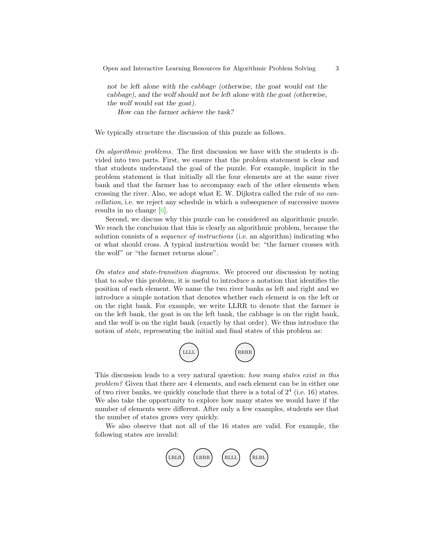Open and Interactive Learning Resources for Algorithmic Problem Solving 3

not be left alone with the cabbage (otherwise, the goat would eat the cabbage), and the wolf should not be left alone with the goat (otherwise, the wolf would eat the goat).

How can the farmer achieve the task?

We typically structure the discussion of this puzzle as follows.

On algorithmic problems. The first discussion we have with the students is divided into two parts. First, we ensure that the problem statement is clear and that students understand the goal of the puzzle. For example, implicit in the problem statement is that initially all the four elements are at the same river bank and that the farmer has to accompany each of the other elements when crossing the river. Also, we adopt what E. W. Dijkstra called the rule of no cancellation, i.e. we reject any schedule in which a subsequence of successive moves results in no change [\[6\]](#page-8-4).

Second, we discuss why this puzzle can be considered an algorithmic puzzle. We reach the conclusion that this is clearly an algorithmic problem, because the solution consists of a *sequence of instructions* (i.e. an algorithm) indicating who or what should cross. A typical instruction would be: "the farmer crosses with the wolf" or "the farmer returns alone".

On states and state-transition diagrams. We proceed our discussion by noting that to solve this problem, it is useful to introduce a notation that identifies the position of each element. We name the two river banks as left and right and we introduce a simple notation that denotes whether each element is on the left or on the right bank. For example, we write LLRR to denote that the farmer is on the left bank, the goat is on the left bank, the cabbage is on the right bank, and the wolf is on the right bank (exactly by that order). We thus introduce the notion of *state*, representing the initial and final states of this problem as:



This discussion leads to a very natural question: how many states exist in this problem? Given that there are 4 elements, and each element can be in either one of two river banks, we quickly conclude that there is a total of  $2<sup>4</sup>$  (i.e. 16) states. We also take the opportunity to explore how many states we would have if the number of elements were different. After only a few examples, students see that the number of states grows very quickly.

We also observe that not all of the 16 states are valid. For example, the following states are invalid:

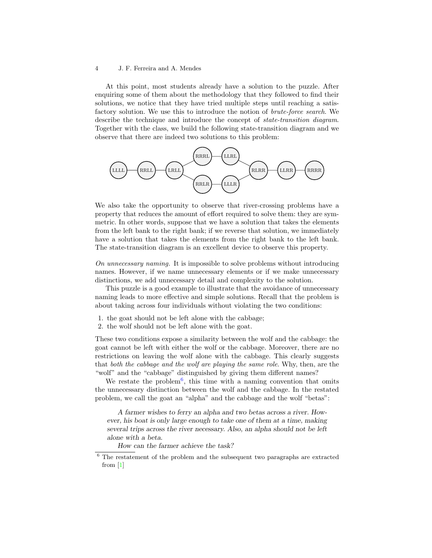#### 4 J. F. Ferreira and A. Mendes

At this point, most students already have a solution to the puzzle. After enquiring some of them about the methodology that they followed to find their solutions, we notice that they have tried multiple steps until reaching a satisfactory solution. We use this to introduce the notion of brute-force search. We describe the technique and introduce the concept of *state-transition diagram*. Together with the class, we build the following state-transition diagram and we observe that there are indeed two solutions to this problem:



We also take the opportunity to observe that river-crossing problems have a property that reduces the amount of effort required to solve them: they are symmetric. In other words, suppose that we have a solution that takes the elements from the left bank to the right bank; if we reverse that solution, we immediately have a solution that takes the elements from the right bank to the left bank. The state-transition diagram is an excellent device to observe this property.

On unnecessary naming. It is impossible to solve problems without introducing names. However, if we name unnecessary elements or if we make unnecessary distinctions, we add unnecessary detail and complexity to the solution.

This puzzle is a good example to illustrate that the avoidance of unnecessary naming leads to more effective and simple solutions. Recall that the problem is about taking across four individuals without violating the two conditions:

- 1. the goat should not be left alone with the cabbage;
- 2. the wolf should not be left alone with the goat.

These two conditions expose a similarity between the wolf and the cabbage: the goat cannot be left with either the wolf or the cabbage. Moreover, there are no restrictions on leaving the wolf alone with the cabbage. This clearly suggests that both the cabbage and the wolf are playing the same role. Why, then, are the "wolf" and the "cabbage" distinguished by giving them different names?

We restate the problem<sup>[6](#page-3-0)</sup>, this time with a naming convention that omits the unnecessary distinction between the wolf and the cabbage. In the restated problem, we call the goat an "alpha" and the cabbage and the wolf "betas":

A farmer wishes to ferry an alpha and two betas across a river. However, his boat is only large enough to take one of them at a time, making several trips across the river necessary. Also, an alpha should not be left alone with a beta.

How can the farmer achieve the task?

<span id="page-3-0"></span> $^6$  The restatement of the problem and the subsequent two paragraphs are extracted from [\[1\]](#page-8-0)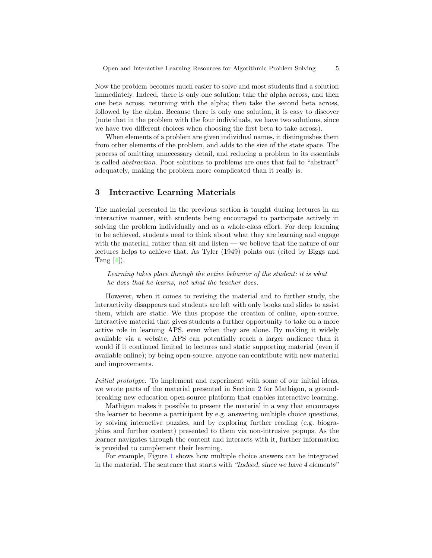Now the problem becomes much easier to solve and most students find a solution immediately. Indeed, there is only one solution: take the alpha across, and then one beta across, returning with the alpha; then take the second beta across, followed by the alpha. Because there is only one solution, it is easy to discover (note that in the problem with the four individuals, we have two solutions, since we have two different choices when choosing the first beta to take across).

When elements of a problem are given individual names, it distinguishes them from other elements of the problem, and adds to the size of the state space. The process of omitting unnecessary detail, and reducing a problem to its essentials is called abstraction. Poor solutions to problems are ones that fail to "abstract" adequately, making the problem more complicated than it really is.

## <span id="page-4-0"></span>3 Interactive Learning Materials

The material presented in the previous section is taught during lectures in an interactive manner, with students being encouraged to participate actively in solving the problem individually and as a whole-class effort. For deep learning to be achieved, students need to think about what they are learning and engage with the material, rather than sit and listen — we believe that the nature of our lectures helps to achieve that. As Tyler (1949) points out (cited by Biggs and Tang  $[4]$ ,

Learning takes place through the active behavior of the student: it is what he does that he learns, not what the teacher does.

However, when it comes to revising the material and to further study, the interactivity disappears and students are left with only books and slides to assist them, which are static. We thus propose the creation of online, open-source, interactive material that gives students a further opportunity to take on a more active role in learning APS, even when they are alone. By making it widely available via a website, APS can potentially reach a larger audience than it would if it continued limited to lectures and static supporting material (even if available online); by being open-source, anyone can contribute with new material and improvements.

Initial prototype. To implement and experiment with some of our initial ideas, we wrote parts of the material presented in Section [2](#page-1-1) for Mathigon, a groundbreaking new education open-source platform that enables interactive learning.

Mathigon makes it possible to present the material in a way that encourages the learner to become a participant by e.g. answering multiple choice questions, by solving interactive puzzles, and by exploring further reading (e.g. biographies and further context) presented to them via non-intrusive popups. As the learner navigates through the content and interacts with it, further information is provided to complement their learning.

For example, Figure [1](#page-5-0) shows how multiple choice answers can be integrated in the material. The sentence that starts with "Indeed, since we have 4 elements"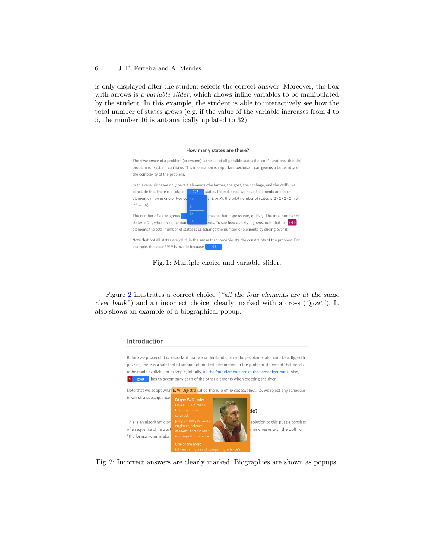#### 6 J. F. Ferreira and A. Mendes

is only displayed after the student selects the correct answer. Moreover, the box with arrows is a *variable slider*, which allows inline variables to be manipulated by the student. In this example, the student is able to interactively see how the total number of states grows (e.g. if the value of the variable increases from 4 to 5, the number 16 is automatically updated to 32).

#### How many states are there?

<span id="page-5-0"></span>

Fig. 1: Multiple choice and variable slider.

Figure [2](#page-5-1) illustrates a correct choice ("all the four elements are at the same river bank") and an incorrect choice, clearly marked with a cross ("goat"). It also shows an example of a biographical popup.

<span id="page-5-1"></span>

Fig. 2: Incorrect answers are clearly marked. Biographies are shown as popups.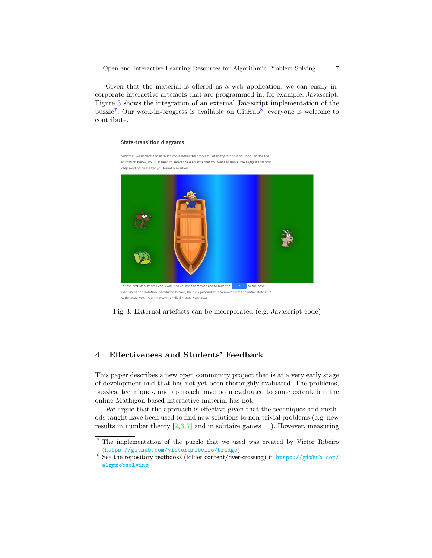Open and Interactive Learning Resources for Algorithmic Problem Solving 7

Given that the material is offered as a web application, we can easily incorporate interactive artefacts that are programmed in, for example, Javascript. Figure [3](#page-6-0) shows the integration of an external Javascript implementation of the puzzle<sup>[7](#page-6-1)</sup>. Our work-in-progress is available on GitHub<sup>[8](#page-6-2)</sup>; everyone is welcome to contribute.

#### <span id="page-6-0"></span>**State-transition diagrams**



For the first step, there is only one possibility: the farmer has to take the  $\boxed{2??}$  to the other side. Using the notation introduced before, the only possibility is to move from the initial state LLLL to the state RRLL. Such a move is called a state transition.



## 4 Effectiveness and Students' Feedback

This paper describes a new open community project that is at a very early stage of development and that has not yet been thoroughly evaluated. The problems, puzzles, techniques, and approach have been evaluated to some extent, but the online Mathigon-based interactive material has not.

We argue that the approach is effective given that the techniques and methods taught have been used to find new solutions to non-trivial problems (e.g. new results in number theory  $\left[2,3,7\right]$  $\left[2,3,7\right]$  $\left[2,3,7\right]$  $\left[2,3,7\right]$  and in solitaire games  $\left[1\right]$ . However, measuring

<span id="page-6-1"></span><sup>7</sup> The implementation of the puzzle that we used was created by Victor Ribeiro (<https://github.com/victorqribeiro/bridge>)

<span id="page-6-2"></span><sup>8</sup> See the repository textbooks (folder content/river-crossing) in [https://github.com/](https://github.com/algprobsolving) [algprobsolving](https://github.com/algprobsolving)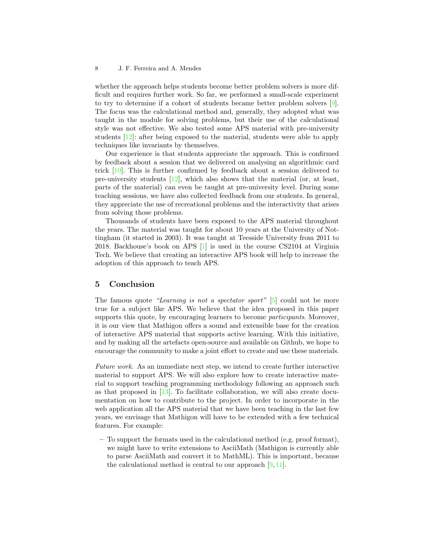whether the approach helps students become better problem solvers is more difficult and requires further work. So far, we performed a small-scale experiment to try to determine if a cohort of students became better problem solvers [\[9\]](#page-8-9). The focus was the calculational method and, generally, they adopted what was taught in the module for solving problems, but their use of the calculational style was not effective. We also tested some APS material with pre-university students  $[12]$ : after being exposed to the material, students were able to apply techniques like invariants by themselves.

Our experience is that students appreciate the approach. This is confirmed by feedback about a session that we delivered on analysing an algorithmic card trick [\[10\]](#page-8-2). This is further confirmed by feedback about a session delivered to pre-university students  $[12]$ , which also shows that the material (or, at least, parts of the material) can even be taught at pre-university level. During some teaching sessions, we have also collected feedback from our students. In general, they appreciate the use of recreational problems and the interactivity that arises from solving those problems.

Thousands of students have been exposed to the APS material throughout the years. The material was taught for about 10 years at the University of Nottingham (it started in 2003). It was taught at Teesside University from 2011 to 2018. Backhouse's book on APS [\[1\]](#page-8-0) is used in the course CS2104 at Virginia Tech. We believe that creating an interactive APS book will help to increase the adoption of this approach to teach APS.

## <span id="page-7-0"></span>5 Conclusion

The famous quote "Learning is not a spectator sport"  $[5]$  could not be more true for a subject like APS. We believe that the idea proposed in this paper supports this quote, by encouraging learners to become *participants*. Moreover, it is our view that Mathigon offers a sound and extensible base for the creation of interactive APS material that supports active learning. With this initiative, and by making all the artefacts open-source and available on Github, we hope to encourage the community to make a joint effort to create and use these materials.

Future work. As an immediate next step, we intend to create further interactive material to support APS. We will also explore how to create interactive material to support teaching programming methodology following an approach such as that proposed in [\[13\]](#page-8-11). To facilitate collaboration, we will also create documentation on how to contribute to the project. In order to incorporate in the web application all the APS material that we have been teaching in the last few years, we envisage that Mathigon will have to be extended with a few technical features. For example:

– To support the formats used in the calculational method (e.g. proof format), we might have to write extensions to AsciiMath (Mathigon is currently able to parse AsciiMath and convert it to MathML). This is important, because the calculational method is central to our approach [\[9,](#page-8-9) [11\]](#page-8-12).